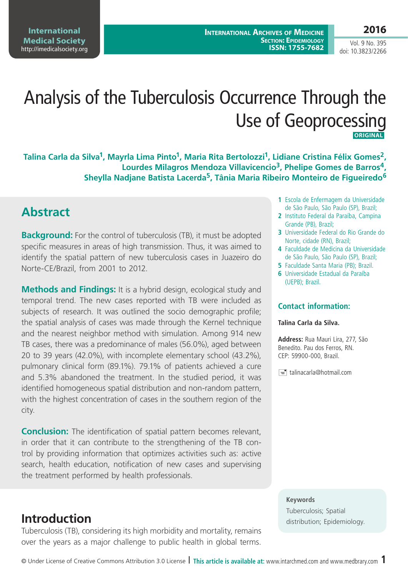# Analysis of the Tuberculosis Occurrence Through the Use of Geoprocessing  **ORIGINAL**

**Talina Carla da Silva1, Mayrla Lima Pinto1, Maria Rita Bertolozzi1, Lidiane Cristina Félix Gomes2,**  Lourdes Milagros Mendoza Villavicencio<sup>3</sup>, Phelipe Gomes de Barros<sup>4</sup>, **Sheylla Nadjane Batista Lacerda5, Tânia Maria Ribeiro Monteiro de Figueiredo6**

### **Abstract**

**Background:** For the control of tuberculosis (TB), it must be adopted specific measures in areas of high transmission. Thus, it was aimed to identify the spatial pattern of new tuberculosis cases in Juazeiro do Norte-CE/Brazil, from 2001 to 2012.

**Methods and Findings:** It is a hybrid design, ecological study and temporal trend. The new cases reported with TB were included as subjects of research. It was outlined the socio demographic profile; the spatial analysis of cases was made through the Kernel technique and the nearest neighbor method with simulation. Among 914 new TB cases, there was a predominance of males (56.0%), aged between 20 to 39 years (42.0%), with incomplete elementary school (43.2%), pulmonary clinical form (89.1%). 79.1% of patients achieved a cure and 5.3% abandoned the treatment. In the studied period, it was identified homogeneous spatial distribution and non-random pattern, with the highest concentration of cases in the southern region of the city.

**Conclusion:** The identification of spatial pattern becomes relevant, in order that it can contribute to the strengthening of the TB control by providing information that optimizes activities such as: active search, health education, notification of new cases and supervising the treatment performed by health professionals.

Tuberculosis (TB), considering its high morbidity and mortality, remains over the years as a major challenge to public health in global terms.

- **1** Escola de Enfermagem da Universidade de São Paulo, São Paulo (SP), Brazil;
- **2** Instituto Federal da Paraíba, Campina Grande (PB), Brazil;
- **3** Universidade Federal do Rio Grande do Norte, cidade (RN), Brazil;
- **4** Faculdade de Medicina da Universidade de São Paulo, São Paulo (SP), Brazil;
- **5** Faculdade Santa Maria (PB); Brazil.
- **6** Universidade Estadual da Paraíba (UEPB); Brazil.

#### **Contact information:**

#### **Talina Carla da Silva.**

**Address:** Rua Mauri Lira, 277, São Benedito. Pau dos Ferros, RN. CEP: 59900-000, Brazil.

 $\equiv$  talinacarla@hotmail.com

#### **Keywords**

Tuberculosis; Spatial **Introduction** distribution; Epidemiology.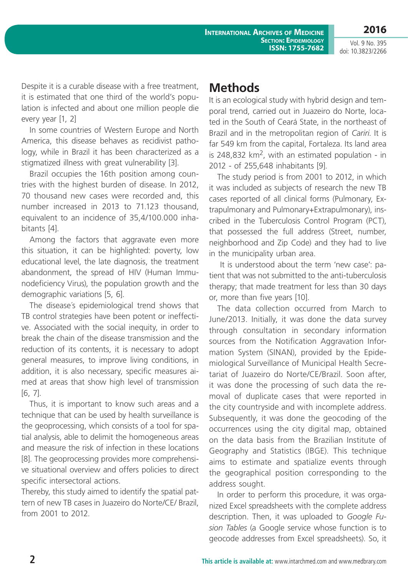**2016**

Despite it is a curable disease with a free treatment, it is estimated that one third of the world's population is infected and about one million people die every year [1, 2]

In some countries of Western Europe and North America, this disease behaves as recidivist pathology, while in Brazil it has been characterized as a stigmatized illness with great vulnerability [3].

Brazil occupies the 16th position among countries with the highest burden of disease. In 2012, 70 thousand new cases were recorded and, this number increased in 2013 to 71.123 thousand, equivalent to an incidence of 35,4/100.000 inhabitants [4].

Among the factors that aggravate even more this situation, it can be highlighted: poverty, low educational level, the late diagnosis, the treatment abandonment, the spread of HIV (Human Immunodeficiency Virus), the population growth and the demographic variations [5, 6].

The disease´s epidemiological trend shows that TB control strategies have been potent or ineffective. Associated with the social inequity, in order to break the chain of the disease transmission and the reduction of its contents, it is necessary to adopt general measures, to improve living conditions, in addition, it is also necessary, specific measures aimed at areas that show high level of transmission [6, 7].

Thus, it is important to know such areas and a technique that can be used by health surveillance is the geoprocessing, which consists of a tool for spatial analysis, able to delimit the homogeneous areas and measure the risk of infection in these locations [8]. The geoprocessing provides more comprehensive situational overview and offers policies to direct specific intersectoral actions.

Thereby, this study aimed to identify the spatial pattern of new TB cases in Juazeiro do Norte/CE/ Brazil, from 2001 to 2012.

## **Methods**

It is an ecological study with hybrid design and temporal trend, carried out in Juazeiro do Norte, located in the South of Ceará State, in the northeast of Brazil and in the metropolitan region of *Cariri*. It is far 549 km from the capital, Fortaleza. Its land area is 248,832  $km^2$ , with an estimated population - in 2012 - of 255,648 inhabitants [9].

The study period is from 2001 to 2012, in which it was included as subjects of research the new TB cases reported of all clinical forms (Pulmonary, Extrapulmonary and Pulmonary+Extrapulmonary), inscribed in the Tuberculosis Control Program (PCT), that possessed the full address (Street, number, neighborhood and Zip Code) and they had to live in the municipality urban area.

 It is understood about the term 'new case': patient that was not submitted to the anti-tuberculosis therapy; that made treatment for less than 30 days or, more than five years [10].

The data collection occurred from March to June/2013. Initially, it was done the data survey through consultation in secondary information sources from the Notification Aggravation Information System (SINAN), provided by the Epidemiological Surveillance of Municipal Health Secretariat of Juazeiro do Norte/CE/Brazil. Soon after, it was done the processing of such data the removal of duplicate cases that were reported in the city countryside and with incomplete address. Subsequently, it was done the geocoding of the occurrences using the city digital map, obtained on the data basis from the Brazilian Institute of Geography and Statistics (IBGE). This technique aims to estimate and spatialize events through the geographical position corresponding to the address sought.

In order to perform this procedure, it was organized Excel spreadsheets with the complete address description. Then, it was uploaded to *Google Fusion Tables* (a Google service whose function is to geocode addresses from Excel spreadsheets). So, it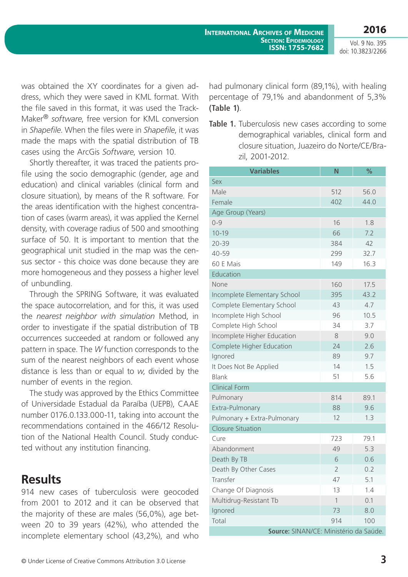was obtained the XY coordinates for a given address, which they were saved in KML format. With the file saved in this format, it was used the Track-Maker® *software*, free version for KML conversion in *Shapefile*. When the files were in *Shapefile*, it was made the maps with the spatial distribution of TB cases using the ArcGis *Software*, version 10.

Shortly thereafter, it was traced the patients profile using the socio demographic (gender, age and education) and clinical variables (clinical form and closure situation), by means of the R software. For the areas identification with the highest concentration of cases (warm areas), it was applied the Kernel density, with coverage radius of 500 and smoothing surface of 50. It is important to mention that the geographical unit studied in the map was the census sector - this choice was done because they are more homogeneous and they possess a higher level of unbundling.

Through the SPRING Software, it was evaluated the space autocorrelation, and for this, it was used the *nearest neighbor with simulation* Method, in order to investigate if the spatial distribution of TB occurrences succeeded at random or followed any pattern in space. The *W* function corresponds to the sum of the nearest neighbors of each event whose distance is less than or equal to *w*, divided by the number of events in the region.

The study was approved by the Ethics Committee of Universidade Estadual da Paraíba (UEPB), CAAE number 0176.0.133.000-11, taking into account the recommendations contained in the 466/12 Resolution of the National Health Council. Study conducted without any institution financing.

### **Results**

914 new cases of tuberculosis were geocoded from 2001 to 2012 and it can be observed that the majority of these are males (56,0%), age between 20 to 39 years (42%), who attended the incomplete elementary school (43,2%), and who

had pulmonary clinical form (89,1%), with healing percentage of 79,1% and abandonment of 5,3% **(Table 1)**.

**Table 1.** Tuberculosis new cases according to some demographical variables, clinical form and closure situation, Juazeiro do Norte/CE/Brazil, 2001-2012.

| <b>Variables</b>                       | N              | $\frac{9}{6}$ |
|----------------------------------------|----------------|---------------|
| Sex                                    |                |               |
| Male                                   | 512            | 56.0          |
| Female                                 | 402            | 44.0          |
| Age Group (Years)                      |                |               |
| $0 - 9$                                | 16             | 1.8           |
| $10 - 19$                              | 66             | 7.2           |
| $20 - 39$                              | 384            | 42            |
| 40-59                                  | 299            | 32.7          |
| 60 E Mais                              | 149            | 16.3          |
| Education                              |                |               |
| None                                   | 160            | 17.5          |
| Incomplete Elementary School           | 395            | 43.2          |
| Complete Elementary School             | 43             | 4.7           |
| Incomplete High School                 | 96             | 10.5          |
| Complete High School                   | 34             | 3.7           |
| Incomplete Higher Education            | 8              | 9.0           |
| Complete Higher Education              | 24             | 2.6           |
| Ignored                                | 89             | 9.7           |
| It Does Not Be Applied                 | 14             | 1.5           |
| <b>Blank</b>                           | 51             | 5.6           |
| <b>Clinical Form</b>                   |                |               |
| Pulmonary                              | 814            | 89.1          |
| Extra-Pulmonary                        | 88             | 9.6           |
| Pulmonary + Extra-Pulmonary            | 12             | 1.3           |
| <b>Closure Situation</b>               |                |               |
| Cure                                   | 723            | 79.1          |
| Abandonment                            | 49             | 5.3           |
| Death By TB                            | 6              | 0.6           |
| Death By Other Cases                   | $\overline{2}$ | 0.2           |
| Transfer                               | 47             | 5.1           |
| Change Of Diagnosis                    | 13             | 1.4           |
| Multidrug-Resistant Tb                 | $\mathbf{1}$   | 0.1           |
| Ignored                                | 73             | 8.0           |
| Total                                  | 914            | 100           |
| Source: SINAN/CE: Ministério da Saúde. |                |               |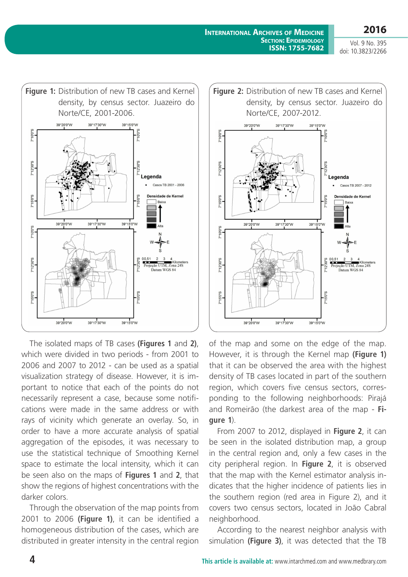

The isolated maps of TB cases **(Figures 1** and **2)**, which were divided in two periods - from 2001 to 2006 and 2007 to 2012 - can be used as a spatial visualization strategy of disease. However, it is important to notice that each of the points do not necessarily represent a case, because some notifications were made in the same address or with rays of vicinity which generate an overlay. So, in order to have a more accurate analysis of spatial aggregation of the episodes, it was necessary to use the statistical technique of Smoothing Kernel space to estimate the local intensity, which it can be seen also on the maps of **Figures 1** and **2**, that show the regions of highest concentrations with the darker colors.

Through the observation of the map points from 2001 to 2006 **(Figure 1)**, it can be identified a homogeneous distribution of the cases, which are distributed in greater intensity in the central region



of the map and some on the edge of the map. However, it is through the Kernel map **(Figure 1)** that it can be observed the area with the highest density of TB cases located in part of the southern region, which covers five census sectors, corresponding to the following neighborhoods: Pirajá and Romeirão (the darkest area of the map - **Figure 1**).

From 2007 to 2012, displayed in **Figure 2**, it can be seen in the isolated distribution map, a group in the central region and, only a few cases in the city peripheral region. In **Figure 2**, it is observed that the map with the Kernel estimator analysis indicates that the higher incidence of patients lies in the southern region (red area in Figure 2), and it covers two census sectors, located in João Cabral neighborhood.

According to the nearest neighbor analysis with simulation **(Figure 3)**, it was detected that the TB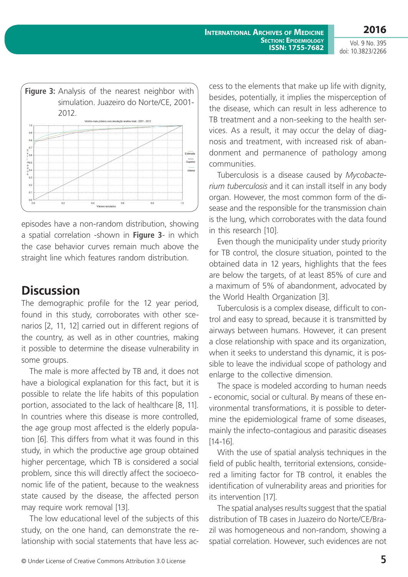**2016** Vol. 9 No. 395

doi: 10.3823/2266



episodes have a non-random distribution, showing a spatial correlation -shown in **Figure 3**- in which the case behavior curves remain much above the straight line which features random distribution.

### **Discussion**

The demographic profile for the 12 year period, found in this study, corroborates with other scenarios [2, 11, 12] carried out in different regions of the country, as well as in other countries, making it possible to determine the disease vulnerability in some groups.

The male is more affected by TB and, it does not have a biological explanation for this fact, but it is possible to relate the life habits of this population portion, associated to the lack of healthcare [8, 11]. In countries where this disease is more controlled, the age group most affected is the elderly population [6]. This differs from what it was found in this study, in which the productive age group obtained higher percentage, which TB is considered a social problem, since this will directly affect the socioeconomic life of the patient, because to the weakness state caused by the disease, the affected person may require work removal [13].

The low educational level of the subjects of this study, on the one hand, can demonstrate the relationship with social statements that have less ac-

cess to the elements that make up life with dignity, besides, potentially, it implies the misperception of the disease, which can result in less adherence to TB treatment and a non-seeking to the health services. As a result, it may occur the delay of diagnosis and treatment, with increased risk of abandonment and permanence of pathology among communities.

Tuberculosis is a disease caused by *Mycobacterium tuberculosis* and it can install itself in any body organ. However, the most common form of the disease and the responsible for the transmission chain is the lung, which corroborates with the data found in this research [10].

Even though the municipality under study priority for TB control, the closure situation, pointed to the obtained data in 12 years, highlights that the fees are below the targets, of at least 85% of cure and a maximum of 5% of abandonment, advocated by the World Health Organization [3].

Tuberculosis is a complex disease, difficult to control and easy to spread, because it is transmitted by airways between humans. However, it can present a close relationship with space and its organization, when it seeks to understand this dynamic, it is possible to leave the individual scope of pathology and enlarge to the collective dimension.

The space is modeled according to human needs - economic, social or cultural. By means of these environmental transformations, it is possible to determine the epidemiological frame of some diseases, mainly the infecto-contagious and parasitic diseases [14-16].

With the use of spatial analysis techniques in the field of public health, territorial extensions, considered a limiting factor for TB control, it enables the identification of vulnerability areas and priorities for its intervention [17].

The spatial analyses results suggest that the spatial distribution of TB cases in Juazeiro do Norte/CE/Brazil was homogeneous and non-random, showing a spatial correlation. However, such evidences are not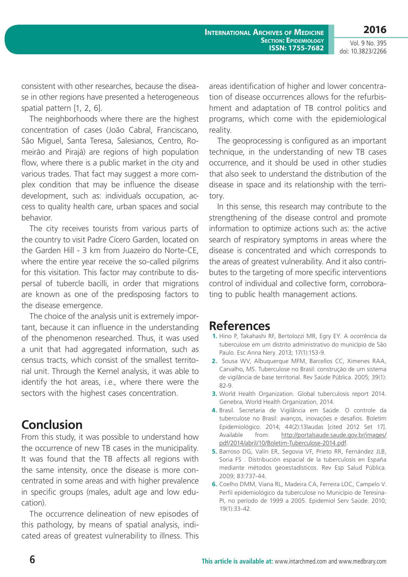**International Archives of Medicine Section: Epidemiology ISSN: 1755-7682**

Vol. 9 No. 395 doi: 10.3823/2266

**2016**

consistent with other researches, because the disease in other regions have presented a heterogeneous spatial pattern [1, 2, 6].

The neighborhoods where there are the highest concentration of cases (João Cabral, Franciscano, São Miguel, Santa Teresa, Salesianos, Centro, Romeirão and Pirajá) are regions of high population flow, where there is a public market in the city and various trades. That fact may suggest a more complex condition that may be influence the disease development, such as: individuals occupation, access to quality health care, urban spaces and social behavior.

The city receives tourists from various parts of the country to visit Padre Cícero Garden, located on the Garden Hill - 3 km from Juazeiro do Norte-CE, where the entire year receive the so-called pilgrims for this visitation. This factor may contribute to dispersal of tubercle bacilli, in order that migrations are known as one of the predisposing factors to the disease emergence.

The choice of the analysis unit is extremely important, because it can influence in the understanding of the phenomenon researched. Thus, it was used a unit that had aggregated information, such as census tracts, which consist of the smallest territorial unit. Through the Kernel analysis, it was able to identify the hot areas, i.e., where there were the sectors with the highest cases concentration.

### **Conclusion**

From this study, it was possible to understand how the occurrence of new TB cases in the municipality. It was found that the TB affects all regions with the same intensity, once the disease is more concentrated in some areas and with higher prevalence in specific groups (males, adult age and low education).

The occurrence delineation of new episodes of this pathology, by means of spatial analysis, indicated areas of greatest vulnerability to illness. This

areas identification of higher and lower concentration of disease occurrences allows for the refurbishment and adaptation of TB control politics and programs, which come with the epidemiological reality.

The geoprocessing is configured as an important technique, in the understanding of new TB cases occurrence, and it should be used in other studies that also seek to understand the distribution of the disease in space and its relationship with the territory.

In this sense, this research may contribute to the strengthening of the disease control and promote information to optimize actions such as: the active search of respiratory symptoms in areas where the disease is concentrated and which corresponds to the areas of greatest vulnerability. And it also contributes to the targeting of more specific interventions control of individual and collective form, corroborating to public health management actions.

#### **References**

- **1.** Hino P, Takahashi RF, Bertolozzi MR, Egry EY. A ocorrência da tuberculose em um distrito administrativo do município de São Paulo. Esc Anna Nery. 2013; 17(1):153-9.
- **2.** Sousa WV, Albuquerque MFM, Barcellos CC, Ximenes RAA, Carvalho, MS. Tuberculose no Brasil: construção de um sistema de vigilância de base territorial. Rev Saúde Pública. 2005; 39(1): 82-9.
- **3.** World Health Organization. Global tuberculosis report 2014. Genebra, World Health Organization, 2014.
- **4.** Brasil. Secretaria de Vigilância em Saúde. O controle da tuberculose no Brasil: avanços, inovações e desafios. Boletim Epidemiológico. 2014; 44(2):13laudas [cited 2012 Set 17]. Available from: [http://portalsaude.saude.gov.br/images/](http://portalsaude.saude.gov.br/images/pdf/2014/abril/10/Boletim-Tuberculose-2014.pdf) [pdf/2014/abril/10/Boletim-Tuberculose-2014.pdf](http://portalsaude.saude.gov.br/images/pdf/2014/abril/10/Boletim-Tuberculose-2014.pdf).
- **5.** Barroso DG, Valín ER, Segovia VF, Prieto RR, Fernández JLB, Soria FS . Distribución espacial de la tuberculosis en España mediante métodos geoestadísticos. Rev Esp Salud Pública. 2009; 83:737-44.
- **6.** Coelho DMM, Viana RL, Madeira CA, Ferreira LOC, Campelo V. Perfil epidemiológico da tuberculose no Município de Teresina-PI, no período de 1999 a 2005. Epidemiol Serv Saúde. 2010; 19(1):33-42.